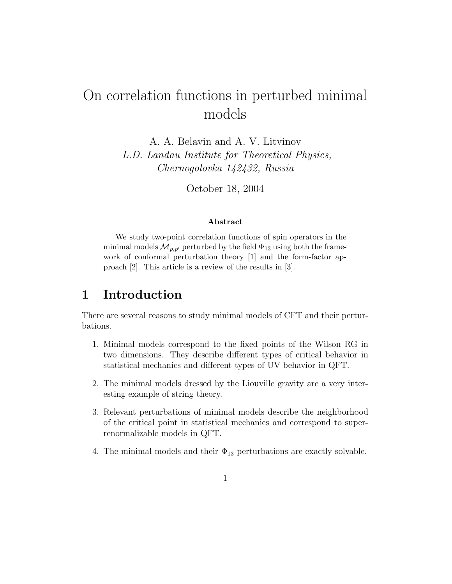# On correlation functions in perturbed minimal models

A. A. Belavin and A. V. Litvinov L.D. Landau Institute for Theoretical Physics, Chernogolovka 142432, Russia

October 18, 2004

#### Abstract

We study two-point correlation functions of spin operators in the minimal models  $\mathcal{M}_{p,p'}$  perturbed by the field  $\Phi_{13}$  using both the framework of conformal perturbation theory [1] and the form-factor approach [2]. This article is a review of the results in [3].

### 1 Introduction

There are several reasons to study minimal models of CFT and their perturbations.

- 1. Minimal models correspond to the fixed points of the Wilson RG in two dimensions. They describe different types of critical behavior in statistical mechanics and different types of UV behavior in QFT.
- 2. The minimal models dressed by the Liouville gravity are a very interesting example of string theory.
- 3. Relevant perturbations of minimal models describe the neighborhood of the critical point in statistical mechanics and correspond to superrenormalizable models in QFT.
- 4. The minimal models and their  $\Phi_{13}$  perturbations are exactly solvable.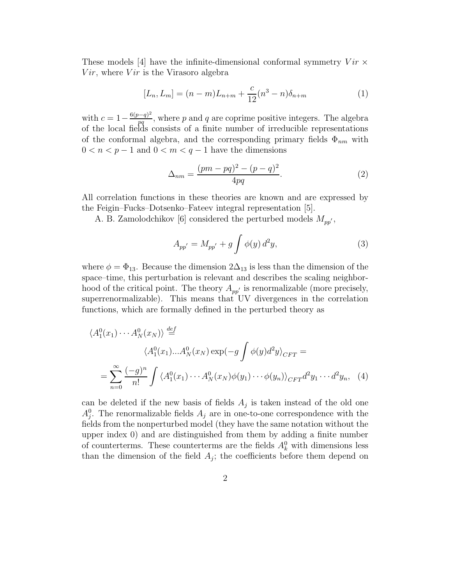These models [4] have the infinite-dimensional conformal symmetry  $Vir \times$  $Vir$ , where  $Vir$  is the Virasoro algebra

$$
[L_n, L_m] = (n-m)L_{n+m} + \frac{c}{12}(n^3 - n)\delta_{n+m}
$$
 (1)

with  $c = 1 - \frac{6(p-q)^2}{pq}$  $\frac{p-q}{pq}$ , where p and q are coprime positive integers. The algebra of the local fields consists of a finite number of irreducible representations of the conformal algebra, and the corresponding primary fields  $\Phi_{nm}$  with  $0 < n < p - 1$  and  $0 < m < q - 1$  have the dimensions

$$
\Delta_{nm} = \frac{(pm - pq)^2 - (p - q)^2}{4pq}.
$$
\n(2)

All correlation functions in these theories are known and are expressed by the Feigin–Fucks–Dotsenko–Fateev integral representation [5].

A. B. Zamolodchikov [6] considered the perturbed models  $M_{pp}$ <sup>'</sup>,

$$
A_{pp'} = M_{pp'} + g \int \phi(y) d^2y,
$$
 (3)

where  $\phi = \Phi_{13}$ . Because the dimension  $2\Delta_{13}$  is less than the dimension of the space–time, this perturbation is relevant and describes the scaling neighborhood of the critical point. The theory  $A_{pp'}$  is renormalizable (more precisely, superrenormalizable). This means that UV divergences in the correlation functions, which are formally defined in the perturbed theory as

$$
\langle A_1^0(x_1) \cdots A_N^0(x_N) \rangle \stackrel{def}{=} \langle A_1^0(x_1) \cdots A_N^0(x_N) \exp(-g \int \phi(y) d^2 y \rangle_{CFT} =
$$
  
= 
$$
\sum_{n=0}^{\infty} \frac{(-g)^n}{n!} \int \langle A_1^0(x_1) \cdots A_N^0(x_N) \phi(y_1) \cdots \phi(y_n) \rangle_{CFT} d^2 y_1 \cdots d^2 y_n, \quad (4)
$$

can be deleted if the new basis of fields  $A_j$  is taken instead of the old one  $A_j^0$ . The renormalizable fields  $A_j$  are in one-to-one correspondence with the fields from the nonperturbed model (they have the same notation without the upper index 0) and are distinguished from them by adding a finite number of counterterms. These counterterms are the fields  $A_k^0$  with dimensions less than the dimension of the field  $A_j$ ; the coefficients before them depend on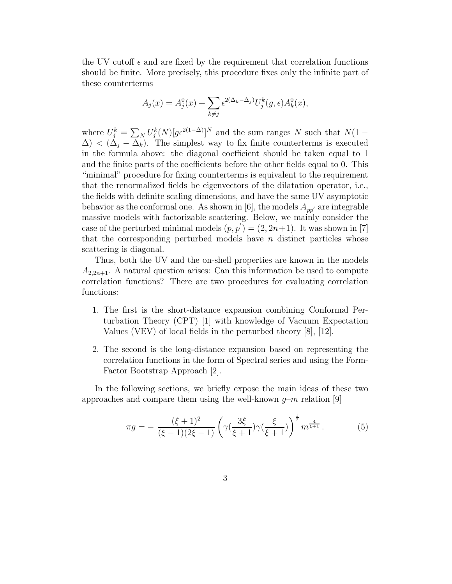the UV cutoff  $\epsilon$  and are fixed by the requirement that correlation functions should be finite. More precisely, this procedure fixes only the infinite part of these counterterms

$$
A_j(x) = A_j^0(x) + \sum_{k \neq j} \epsilon^{2(\Delta_k - \Delta_j)} U_j^k(g, \epsilon) A_k^0(x),
$$

where  $U_j^k = \sum_N U_j^k(N) [g\epsilon^{2(1-\Delta)}]^N$  and the sum ranges N such that  $N(1-\Delta)$  $\Delta$ ) < ( $\Delta$ <sub>i</sub> –  $\Delta$ <sub>k</sub>). The simplest way to fix finite counterterms is executed in the formula above: the diagonal coefficient should be taken equal to 1 and the finite parts of the coefficients before the other fields equal to 0. This "minimal" procedure for fixing counterterms is equivalent to the requirement that the renormalized fields be eigenvectors of the dilatation operator, i.e., the fields with definite scaling dimensions, and have the same UV asymptotic behavior as the conformal one. As shown in [6], the models  $A_{pp'}$  are integrable massive models with factorizable scattering. Below, we mainly consider the case of the perturbed minimal models  $(p, p') = (2, 2n+1)$ . It was shown in [7] that the corresponding perturbed models have  $n$  distinct particles whose scattering is diagonal.

Thus, both the UV and the on-shell properties are known in the models  $A_{2,2n+1}$ . A natural question arises: Can this information be used to compute correlation functions? There are two procedures for evaluating correlation functions:

- 1. The first is the short-distance expansion combining Conformal Perturbation Theory (CPT) [1] with knowledge of Vacuum Expectation Values (VEV) of local fields in the perturbed theory [8], [12].
- 2. The second is the long-distance expansion based on representing the correlation functions in the form of Spectral series and using the Form-Factor Bootstrap Approach [2].

In the following sections, we briefly expose the main ideas of these two approaches and compare them using the well-known  $g-m$  relation [9]

$$
\pi g = -\frac{(\xi + 1)^2}{(\xi - 1)(2\xi - 1)} \left(\gamma(\frac{3\xi}{\xi + 1})\gamma(\frac{\xi}{\xi + 1})\right)^{\frac{1}{2}} m^{\frac{4}{\xi + 1}}.
$$
 (5)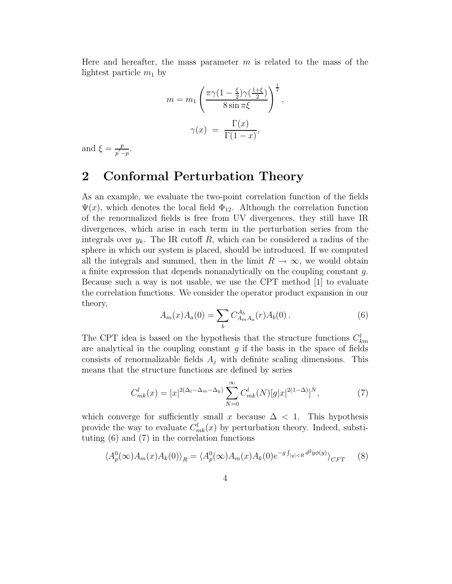Here and hereafter, the mass parameter  $m$  is related to the mass of the lightest particle  $m_1$  by

$$
m = m_1 \left( \frac{\pi \gamma (1 - \frac{\xi}{2}) \gamma (\frac{1 + \xi}{2})}{8 \sin \pi \xi} \right)^{\frac{1}{2}},
$$

$$
\gamma(x) = \frac{\Gamma(x)}{\Gamma(1 - x)},
$$

and  $\xi = \frac{p}{n'}$  $\frac{p}{p'-p}.$ 

#### 2 Conformal Perturbation Theory

As an example, we evaluate the two-point correlation function of the fields  $\Psi(x)$ , which denotes the local field  $\Phi_{12}$ . Although the correlation function of the renormalized fields is free from UV divergences, they still have IR divergences, which arise in each term in the perturbation series from the integrals over  $y_k$ . The IR cutoff R, which can be considered a radius of the sphere in which our system is placed, should be introduced. If we computed all the integrals and summed, then in the limit  $R \to \infty$ , we would obtain a finite expression that depends nonanalytically on the coupling constant g. Because such a way is not usable, we use the CPT method [1] to evaluate the correlation functions. We consider the operator product expansion in our theory,

$$
A_m(x)A_a(0) = \sum_b C_{A_m A_a}^{A_b}(r)A_b(0).
$$
 (6)

The CPT idea is based on the hypothesis that the structure functions  $C_{km}^l$ are analytical in the coupling constant  $g$  if the basis in the space of fields consists of renormalizable fields  $A_j$  with definite scaling dimensions. This means that the structure functions are defined by series

$$
C_{mk}^l(x) = |x|^{2(\Delta_l - \Delta_m - \Delta_k)} \sum_{N=0}^{\infty} C_{mk}^l(N) [g|x|^{2(1-\Delta)}]^N, \tag{7}
$$

which converge for sufficiently small x because  $\Delta$  < 1. This hypothesis provide the way to evaluate  $C_{mk}^l(x)$  by perturbation theory. Indeed, substituting (6) and (7) in the correlation functions

$$
\langle A_p^0(\infty)A_m(x)A_k(0)\rangle_R = \langle A_p^0(\infty)A_m(x)A_k(0)e^{-g\int_{|y|
$$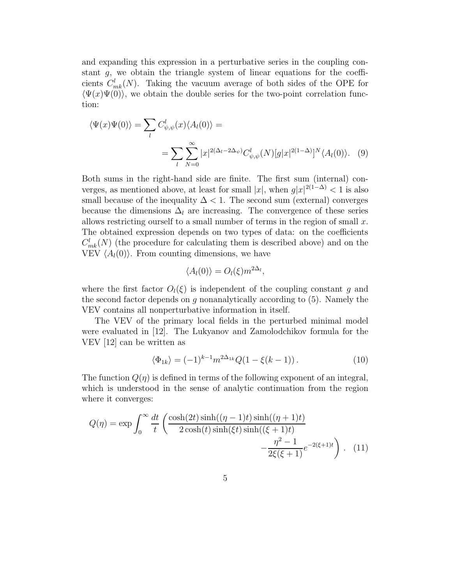and expanding this expression in a perturbative series in the coupling constant g, we obtain the triangle system of linear equations for the coefficients  $C_{mk}^{l}(N)$ . Taking the vacuum average of both sides of the OPE for  $\langle \Psi(x)\Psi(0)\rangle$ , we obtain the double series for the two-point correlation function:

$$
\langle \Psi(x)\Psi(0)\rangle = \sum_{l} C_{\psi,\psi}^{l}(x)\langle A_{l}(0)\rangle =
$$
  

$$
= \sum_{l} \sum_{N=0}^{\infty} |x|^{2(\Delta_{l}-2\Delta_{\psi})} C_{\psi,\psi}^{l}(N)[g|x|^{2(1-\Delta)}]^{N} \langle A_{l}(0)\rangle.
$$
 (9)

Both sums in the right-hand side are finite. The first sum (internal) converges, as mentioned above, at least for small  $|x|$ , when  $g|x|^{2(1-\Delta)} < 1$  is also small because of the inequality  $\Delta < 1$ . The second sum (external) converges because the dimensions  $\Delta_l$  are increasing. The convergence of these series allows restricting ourself to a small number of terms in the region of small  $x$ . The obtained expression depends on two types of data: on the coefficients  $C_{mk}^{l}(N)$  (the procedure for calculating them is described above) and on the VEV  $\langle A_l(0) \rangle$ . From counting dimensions, we have

$$
\langle A_l(0)\rangle = O_l(\xi) m^{2\Delta_l},
$$

where the first factor  $O_l(\xi)$  is independent of the coupling constant q and the second factor depends on  $g$  nonanalytically according to  $(5)$ . Namely the VEV contains all nonperturbative information in itself.

The VEV of the primary local fields in the perturbed minimal model were evaluated in [12]. The Lukyanov and Zamolodchikov formula for the VEV [12] can be written as

$$
\langle \Phi_{1k} \rangle = (-1)^{k-1} m^{2\Delta_{1k}} Q(1 - \xi(k-1)). \tag{10}
$$

The function  $Q(\eta)$  is defined in terms of the following exponent of an integral, which is understood in the sense of analytic continuation from the region where it converges:

$$
Q(\eta) = \exp \int_0^\infty \frac{dt}{t} \left( \frac{\cosh(2t)\sinh((\eta - 1)t)\sinh((\eta + 1)t)}{2\cosh(t)\sinh(\xi t)\sinh((\xi + 1)t)} - \frac{\eta^2 - 1}{2\xi(\xi + 1)} e^{-2(\xi + 1)t} \right). \tag{11}
$$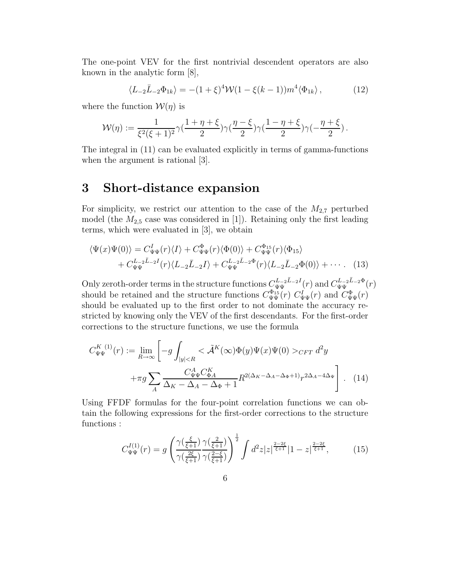The one-point VEV for the first nontrivial descendent operators are also known in the analytic form [8],

$$
\langle L_{-2}\bar{L}_{-2}\Phi_{1k}\rangle = -(1+\xi)^4 \mathcal{W}(1-\xi(k-1))m^4 \langle \Phi_{1k}\rangle, \qquad (12)
$$

where the function  $\mathcal{W}(\eta)$  is

$$
\mathcal{W}(\eta) := \frac{1}{\xi^2(\xi+1)^2} \gamma(\frac{1+\eta+\xi}{2}) \gamma(\frac{\eta-\xi}{2}) \gamma(\frac{1-\eta+\xi}{2}) \gamma(-\frac{\eta+\xi}{2}) \,.
$$

The integral in (11) can be evaluated explicitly in terms of gamma-functions when the argument is rational [3].

#### 3 Short-distance expansion

For simplicity, we restrict our attention to the case of the  $M_{2,7}$  perturbed model (the  $M_{2,5}$  case was considered in [1]). Retaining only the first leading terms, which were evaluated in [3], we obtain

$$
\langle \Psi(x)\Psi(0)\rangle = C_{\Psi\Psi}^{I}(r)\langle I\rangle + C_{\Psi\Psi}^{\Phi}(r)\langle \Phi(0)\rangle + C_{\Psi\Psi}^{\Phi_{15}}(r)\langle \Phi_{15}\rangle + C_{\Psi\Psi}^{L_{-2}\bar{L}_{-2}I}(r)\langle L_{-2}\bar{L}_{-2}I\rangle + C_{\Psi\Psi}^{L_{-2}\bar{L}_{-2}\Phi}(r)\langle L_{-2}\bar{L}_{-2}\Phi(0)\rangle + \cdots
$$
 (13)

Only zeroth-order terms in the structure functions  $C_{\Psi\Psi}^{L_2\bar{L}_2I}(r)$  and  $C_{\Psi\Psi}^{L_2\bar{L}_2\Phi}(r)$ should be retained and the structure functions  $C_{\Psi\Psi}^{\Phi_{15}}(r) C_{\Psi\Psi}^I(r)$  and  $C_{\Psi\Psi}^{\Phi}(r)$ should be evaluated up to the first order to not dominate the accuracy restricted by knowing only the VEV of the first descendants. For the first-order corrections to the structure functions, we use the formula

$$
C_{\Psi\Psi}^{K\ (1)}(r) := \lim_{R \to \infty} \left[ -g \int_{|y| < R} <\tilde{\mathcal{A}}^K(\infty) \Phi(y) \Psi(x) \Psi(0) >_{CFT} d^2y \right. \\ \left. + \pi g \sum_A \frac{C_{\Psi\Psi}^A C_{\Phi A}^K}{\Delta_K - \Delta_A - \Delta_{\Phi} + 1} R^{2(\Delta_K - \Delta_A - \Delta_{\Phi} + 1)} r^{2\Delta_A - 4\Delta_{\Psi}} \right]. \tag{14}
$$

Using FFDF formulas for the four-point correlation functions we can obtain the following expressions for the first-order corrections to the structure functions :

$$
C_{\Psi\Psi}^{I(1)}(r) = g \left( \frac{\gamma(\frac{\xi}{\xi+1})}{\gamma(\frac{2\xi}{\xi+1})} \frac{\gamma(\frac{2}{\xi+1})}{\gamma(\frac{2-\xi}{\xi+1})} \right)^{\frac{1}{2}} \int d^2 z |z|^{\frac{2-2\xi}{\xi+1}} |1-z|^{\frac{2-2\xi}{\xi+1}}, \tag{15}
$$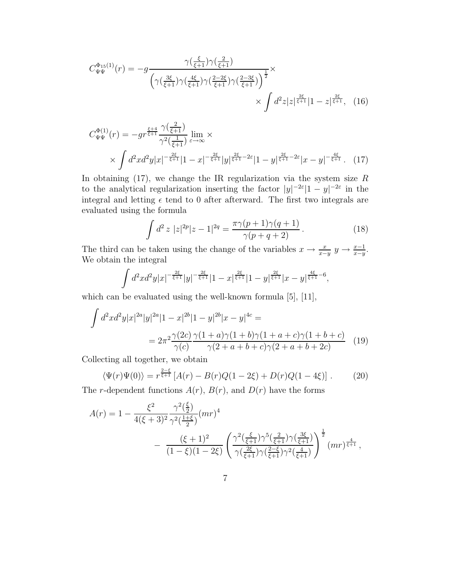$$
C_{\Psi\Psi}^{\Phi_{15}(1)}(r) = -g \frac{\gamma(\frac{\xi}{\xi+1})\gamma(\frac{2}{\xi+1})}{\left(\gamma(\frac{3\xi}{\xi+1})\gamma(\frac{4\xi}{\xi+1})\gamma(\frac{2-2\xi}{\xi+1})\gamma(\frac{2-3\xi}{\xi+1})\right)^{\frac{1}{2}}} \times \int d^2z|z|^{\frac{2\xi}{\xi+1}}|1-z|^{\frac{2\xi}{\xi+1}}, \quad (16)
$$

$$
C_{\Psi\Psi}^{\Phi(1)}(r) = -gr^{\frac{\xi+4}{\xi+1}} \frac{\gamma(\frac{2}{\xi+1})}{\gamma^2(\frac{1}{\xi+1})} \lim_{\varepsilon \to \infty} \times \times \int d^2x d^2y |x|^{-\frac{2\xi}{\xi+1}} |1-x|^{-\frac{2\xi}{\xi+1}} |y|^{\frac{2\xi}{\xi+1}-2\varepsilon} |1-y|^{\frac{2\xi}{\xi+1}-2\varepsilon} |x-y|^{-\frac{4\xi}{\xi+1}}. (17)
$$

In obtaining  $(17)$ , we change the IR regularization via the system size R to the analytical regularization inserting the factor  $|y|^{-2\varepsilon}|1-y|^{-2\varepsilon}$  in the integral and letting  $\epsilon$  tend to 0 after afterward. The first two integrals are evaluated using the formula

$$
\int d^2 z \; |z|^{2p} |z - 1|^{2q} = \frac{\pi \gamma (p+1) \gamma (q+1)}{\gamma (p+q+2)}.
$$
\n(18)

The third can be taken using the change of the variables  $x \to \frac{x}{x-y}$   $y \to \frac{x-1}{x-y}$ . We obtain the integral

$$
\int d^2x d^2y |x|^{-\frac{2\xi}{\xi+1}} |y|^{-\frac{2\xi}{\xi+1}} |1-x|^{\frac{2\xi}{\xi+1}} |1-y|^{\frac{2\xi}{\xi+1}} |x-y|^{\frac{4\xi}{\xi+1}-6},
$$

which can be evaluated using the well-known formula [5], [11],

$$
\int d^2x d^2y |x|^{2a} |y|^{2a} |1-x|^{2b} |1-y|^{2b} |x-y|^{4c} =
$$
  
= 
$$
2\pi^2 \frac{\gamma(2c)}{\gamma(c)} \frac{\gamma(1+a)\gamma(1+b)\gamma(1+a+c)\gamma(1+b+c)}{\gamma(2+a+b+c)\gamma(2+a+b+2c)}
$$
(19)

Collecting all together, we obtain

$$
\langle \Psi(r)\Psi(0)\rangle = r^{\frac{2-\xi}{\xi+1}} \left[A(r) - B(r)Q(1-2\xi) + D(r)Q(1-4\xi)\right].
$$
 (20)

The *r*-dependent functions  $A(r)$ ,  $B(r)$ , and  $D(r)$  have the forms

$$
A(r) = 1 - \frac{\xi^2}{4(\xi+3)^2} \frac{\gamma^2(\frac{\xi}{2})}{\gamma^2(\frac{1+\xi}{2})} (mr)^4 - \frac{(\xi+1)^2}{(1-\xi)(1-2\xi)} \left(\frac{\gamma^2(\frac{\xi}{\xi+1})\gamma^5(\frac{2}{\xi+1})\gamma(\frac{3\xi}{\xi+1})}{\gamma(\frac{2\xi}{\xi+1})\gamma(\frac{2-\xi}{\xi+1})\gamma^2(\frac{4}{\xi+1})}\right)^{\frac{1}{2}} (mr)^{\frac{4}{\xi+1}},
$$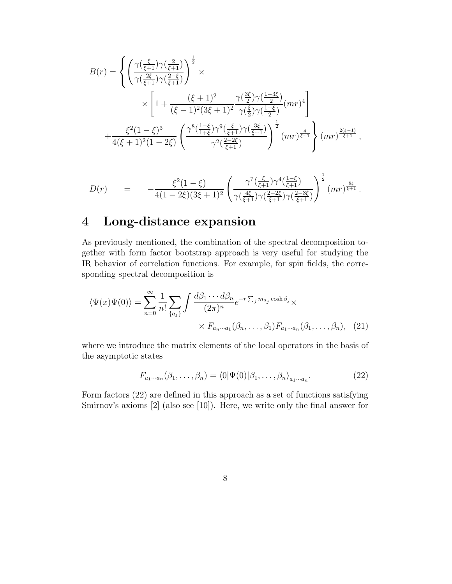$$
B(r) = \begin{cases} \left(\frac{\gamma(\frac{\xi}{\xi+1})\gamma(\frac{2}{\xi+1})}{\gamma(\frac{2\xi}{\xi+1})\gamma(\frac{2-\xi}{\xi+1})}\right)^{\frac{1}{2}} \times \\ \times \left[1 + \frac{(\xi+1)^2}{(\xi-1)^2(3\xi+1)^2} \frac{\gamma(\frac{3\xi}{2})\gamma(\frac{1-3\xi}{2})}{\gamma(\frac{\xi}{2})\gamma(\frac{1-\xi}{2})} (mr)^4\right] \\ + \frac{\xi^2(1-\xi)^3}{4(\xi+1)^2(1-2\xi)} \left(\frac{\gamma^8(\frac{1-\xi}{1+\xi})\gamma^9(\frac{\xi}{\xi+1})\gamma(\frac{3\xi}{\xi+1})}{\gamma^2(\frac{2-2\xi}{\xi+1})}\right)^{\frac{1}{2}} (mr)^{\frac{4}{\xi+1}} (mr)^{\frac{2(\xi-1)}{\xi+1}}, \end{cases}
$$

$$
D(r) = -\frac{\xi^2(1-\xi)}{4(1-2\xi)(3\xi+1)^2} \left(\frac{\gamma^7(\frac{\xi}{\xi+1})\gamma^4(\frac{1-\xi}{\xi+1})}{\gamma(\frac{4\xi}{\xi+1})\gamma(\frac{2-2\xi}{\xi+1})\gamma(\frac{2-3\xi}{\xi+1})}\right)^{\frac{1}{2}} (mr)^{\frac{8\xi}{\xi+1}}.
$$

# 4 Long-distance expansion

As previously mentioned, the combination of the spectral decomposition together with form factor bootstrap approach is very useful for studying the IR behavior of correlation functions. For example, for spin fields, the corresponding spectral decomposition is

$$
\langle \Psi(x)\Psi(0)\rangle = \sum_{n=0}^{\infty} \frac{1}{n!} \sum_{\{a_j\}} \int \frac{d\beta_1 \cdots d\beta_n}{(2\pi)^n} e^{-r \sum_j m_{a_j} \cosh \beta_j} \times
$$

$$
\times F_{a_n \cdots a_1}(\beta_n, \dots, \beta_1) F_{a_1 \cdots a_n}(\beta_1, \dots, \beta_n), \quad (21)
$$

where we introduce the matrix elements of the local operators in the basis of the asymptotic states

$$
F_{a_1\cdots a_n}(\beta_1,\ldots,\beta_n) = \langle 0|\Psi(0)|\beta_1,\ldots,\beta_n\rangle_{a_1\cdots a_n}.\tag{22}
$$

Form factors (22) are defined in this approach as a set of functions satisfying Smirnov's axioms [2] (also see [10]). Here, we write only the final answer for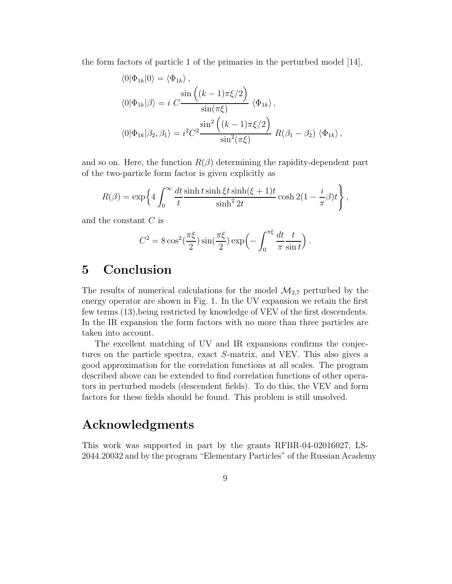the form factors of particle 1 of the primaries in the perturbed model  $|14|$ ,

$$
\langle 0|\Phi_{1k}|0\rangle = \langle \Phi_{1k}\rangle, \n\langle 0|\Phi_{1k}|\beta\rangle = i \ C \frac{\sin\left((k-1)\pi\xi/2\right)}{\sin(\pi\xi)} \langle \Phi_{1k}\rangle, \n\langle 0|\Phi_{1k}|\beta_2, \beta_1\rangle = i^2 C^2 \frac{\sin^2\left((k-1)\pi\xi/2\right)}{\sin^2(\pi\xi)} R(\beta_1 - \beta_2) \langle \Phi_{1k}\rangle,
$$

and so on. Here, the function  $R(\beta)$  determining the rapidity-dependent part of the two-particle form factor is given explicitly as

$$
R(\beta) = \exp\left\{4\int_0^\infty \frac{dt}{t} \frac{\sinh t \sinh \xi t \sinh(\xi+1)t}{\sinh^2 2t} \cosh 2(1-\frac{i}{\pi}\beta)t\right\},\,
$$

and the constant C is

$$
C^{2} = 8 \cos^{2}(\frac{\pi \xi}{2}) \sin(\frac{\pi \xi}{2}) \exp\left(-\int_{0}^{\pi \xi} \frac{dt}{\pi} \frac{t}{\sin t}\right)
$$

.

### 5 Conclusion

The results of numerical calculations for the model  $\mathcal{M}_{2,7}$  perturbed by the energy operator are shown in Fig. 1. In the UV expansion we retain the first few terms (13),being restricted by knowledge of VEV of the first descendents. In the IR expansion the form factors with no more than three particles are taken into account.

The excellent matching of UV and IR expansions confirms the conjectures on the particle spectra, exact S-matrix, and VEV. This also gives a good approximation for the correlation functions at all scales. The program described above can be extended to find correlation functions of other operators in perturbed models (descendent fields). To do this, the VEV and form factors for these fields should be found. This problem is still unsolved.

#### Acknowledgments

This work was supported in part by the grants RFBR-04-02016027, LS-2044.20032 and by the program "Elementary Particles" of the Russian Academy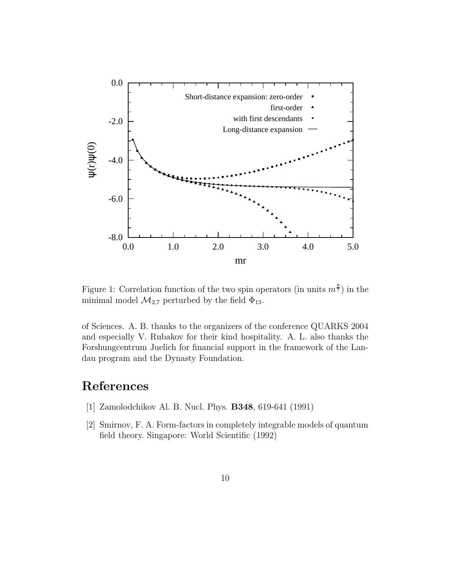

Figure 1: Correlation function of the two spin operators (in units  $m^{\frac{8}{7}}$ ) in the minimal model  $\mathcal{M}_{2,7}$  perturbed by the field  $\Phi_{13}$ .

of Sciences. A. B. thanks to the organizers of the conference QUARKS 2004 and especially V. Rubakov for their kind hospitality. A. L. also thanks the Forshungcentrum Juelich for financial support in the framework of the Landau program and the Dynasty Foundation.

## References

- [1] Zamolodchikov Al. B. Nucl. Phys. B348, 619-641 (1991)
- [2] Smirnov, F. A. Form-factors in completely integrable models of quantum field theory. Singapore: World Scientific (1992)